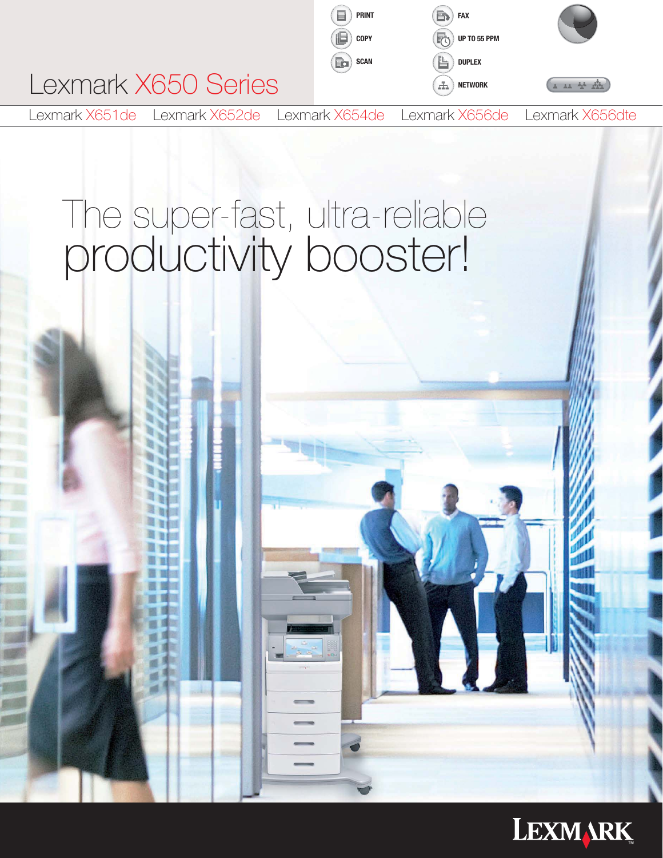

# The super-fast, ultra-reliable productivity booster!

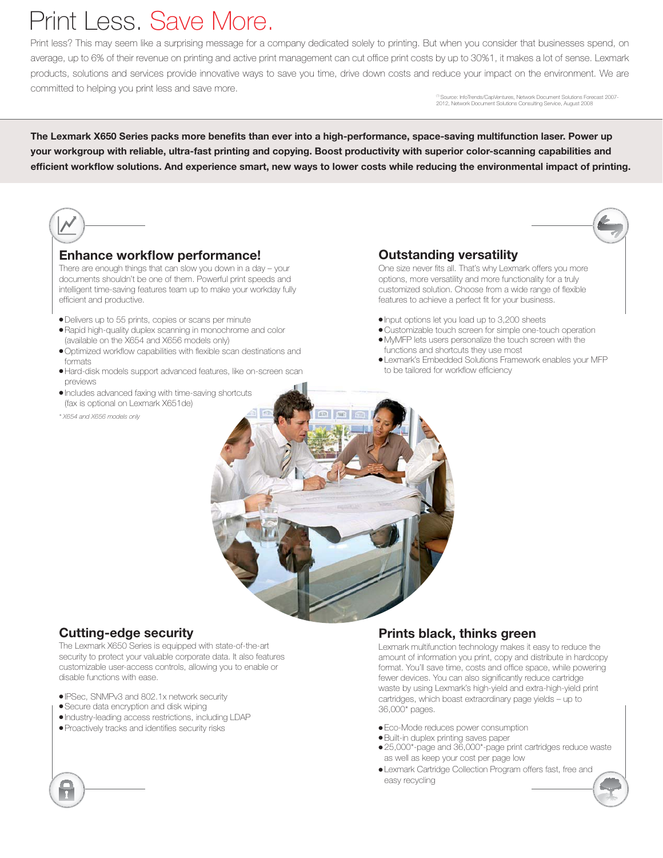## Print Less. Save More.

Print less? This may seem like a surprising message for a company dedicated solely to printing. But when you consider that businesses spend, on average, up to 6% of their revenue on printing and active print management can cut office print costs by up to 30%1, it makes a lot of sense. Lexmark products, solutions and services provide innovative ways to save you time, drive down costs and reduce your impact on the environment. We are committed to helping you print less and save more.

Source: InfoTrends/CapVentures, Network Document Solutions Forecast 2007-2012, Network Document Solutions Consulting Service, August 2008

The Lexmark X650 Series packs more benefits than ever into a high-performance, space-saving multifunction laser. Power up your workgroup with reliable, ultra-fast printing and copying. Boost productivity with superior color-scanning capabilities and efficient workflow solutions. And experience smart, new ways to lower costs while reducing the environmental impact of printing.



### Enhance workflow performance!

There are enough things that can slow you down in a day – your documents shouldn't be one of them. Powerful print speeds and intelligent time-saving features team up to make your workday fully efficient and productive.

- Delivers up to 55 prints, copies or scans per minute
- Rapid high-quality duplex scanning in monochrome and color (available on the X654 and X656 models only)
- Optimized workflow capabilities with flexible scan destinations and formats
- Hard-disk models support advanced features, like on-screen scan previews
- Includes advanced faxing with time-saving shortcuts (fax is optional on Lexmark X651de)
- *\* X654 and X656 models only*

### Outstanding versatility

One size never fits all. That's why Lexmark offers you more options, more versatility and more functionality for a truly customized solution. Choose from a wide range of flexible features to achieve a perfect fit for your business.

- Input options let you load up to 3,200 sheets
- Customizable touch screen for simple one-touch operation
- MyMFP lets users personalize the touch screen with the functions and shortcuts they use most
- Lexmark's Embedded Solutions Framework enables your MFP to be tailored for workflow efficiency



### Cutting-edge security

The Lexmark X650 Series is equipped with state-of-the-art security to protect your valuable corporate data. It also features customizable user-access controls, allowing you to enable or disable functions with ease.

- IPSec, SNMPv3 and 802.1x network security
- Secure data encryption and disk wiping
- Industry-leading access restrictions, including LDAP
- Proactively tracks and identifies security risks

### Prints black, thinks green

Lexmark multifunction technology makes it easy to reduce the amount of information you print, copy and distribute in hardcopy format. You'll save time, costs and office space, while powering fewer devices. You can also significantly reduce cartridge waste by using Lexmark's high-yield and extra-high-yield print cartridges, which boast extraordinary page yields – up to 36,000\* pages.

- Eco-Mode reduces power consumption
- Built-in duplex printing saves paper
- 25,000\*-page and 36,000\*-page print cartridges reduce waste as well as keep your cost per page low
- Lexmark Cartridge Collection Program offers fast, free and easy recycling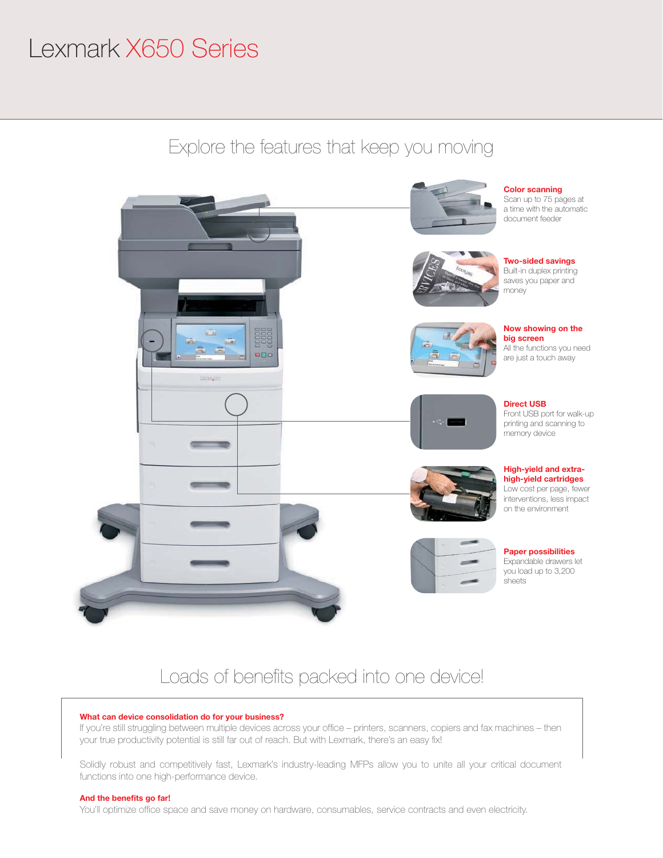## Lexmark X650 Series





## Loads of benefits packed into one device!

### What can device consolidation do for your business?

If you're still struggling between multiple devices across your office – printers, scanners, copiers and fax machines – then your true productivity potential is still far out of reach. But with Lexmark, there's an easy fix!

Solidly robust and competitively fast, Lexmark's industry-leading MFPs allow you to unite all your critical document functions into one high-performance device.

### And the benefits go far!

You'll optimize office space and save money on hardware, consumables, service contracts and even electricity.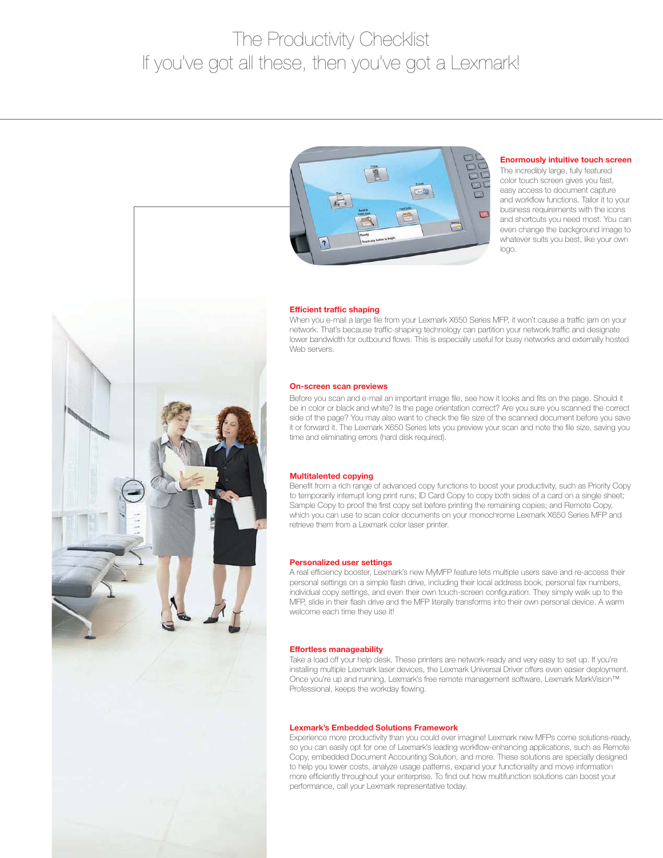## The Productivity Checklist If you've got all these, then you've got a Lexmark!



### Enormously intuitive touch screen

The incredibly large, fully featured color touch screen gives you fast, easy access to document capture and workflow functions. Tailor it to your business requirements with the icons and shortcuts you need most. You can even change the background image to whatever suits you best, like your own logo.



### Efficient traffic shaping

When you e-mail a large file from your Lexmark X650 Series MFP, it won't cause a traffic jam on your network. That's because traffic-shaping technology can partition your network traffic and designate lower bandwidth for outbound flows. This is especially useful for busy networks and externally hosted Web servers.

### On-screen scan previews

Before you scan and e-mail an important image file, see how it looks and fits on the page. Should it be in color or black and white? Is the page orientation correct? Are you sure you scanned the correct side of the page? You may also want to check the file size of the scanned document before you save it or forward it. The Lexmark X650 Series lets you preview your scan and note the file size, saving you time and eliminating errors (hard disk required).

#### Multitalented copying

Benefit from a rich range of advanced copy functions to boost your productivity, such as Priority Copy to temporarily interrupt long print runs; ID Card Copy to copy both sides of a card on a single sheet; Sample Copy to proof the first copy set before printing the remaining copies; and Remote Copy, which you can use to scan color documents on your monochrome Lexmark X650 Series MFP and retrieve them from a Lexmark color laser printer.

#### Personalized user settings

A real efficiency booster, Lexmark's new MyMFP feature lets multiple users save and re-access their personal settings on a simple flash drive, including their local address book, personal fax numbers, individual copy settings, and even their own touch-screen configuration. They simply walk up to the MFP, slide in their flash drive and the MFP literally transforms into their own personal device. A warm welcome each time they use it!

### Effortless manageability

Take a load off your help desk. These printers are network-ready and very easy to set up. If you're installing multiple Lexmark laser devices, the Lexmark Universal Driver offers even easier deployment. Once you're up and running, Lexmark's free remote management software, Lexmark MarkVision™ Professional, keeps the workday flowing.

### Lexmark's Embedded Solutions Framework

Experience more productivity than you could ever imagine! Lexmark new MFPs come solutions-ready, so you can easily opt for one of Lexmark's leading workflow-enhancing applications, such as Remote Copy, embedded Document Accounting Solution, and more. These solutions are specially designed to help you lower costs, analyze usage patterns, expand your functionality and move information more efficiently throughout your enterprise. To find out how multifunction solutions can boost your performance, call your Lexmark representative today.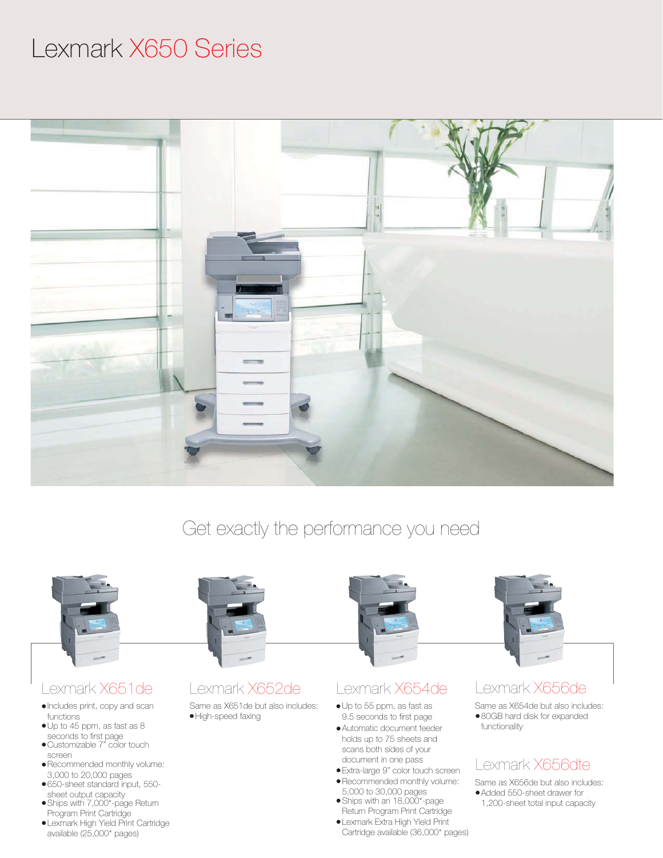## Lexmark X650 Series



### Get exactly the performance you need



### ● Automatic document feeder holds up to 75 sheets and scans both sides of your document in one pass

- Extra-large 9" color touch screen
- Recommended monthly volume:
- 5,000 to 30,000 pages ● Ships with an 18,000\*-page
- Return Program Print Cartridge
- Lexmark Extra High Yield Print Cartridge available (36,000\* pages)

functionality

### Lexmark X656dte

● Added 550-sheet drawer for Same as X656de but also includes:

1,200-sheet total input capacity

- Up to 45 ppm, as fast as 8 seconds to first page
- Customizable 7" color touch screen
- Recommended monthly volume: 3,000 to 20,000 pages
- 650-sheet standard input, 550 sheet output capacity
- Ships with 7,000\*-page Return Program Print Cartridge
- Lexmark High Yield Print Cartridge available (25,000\* pages)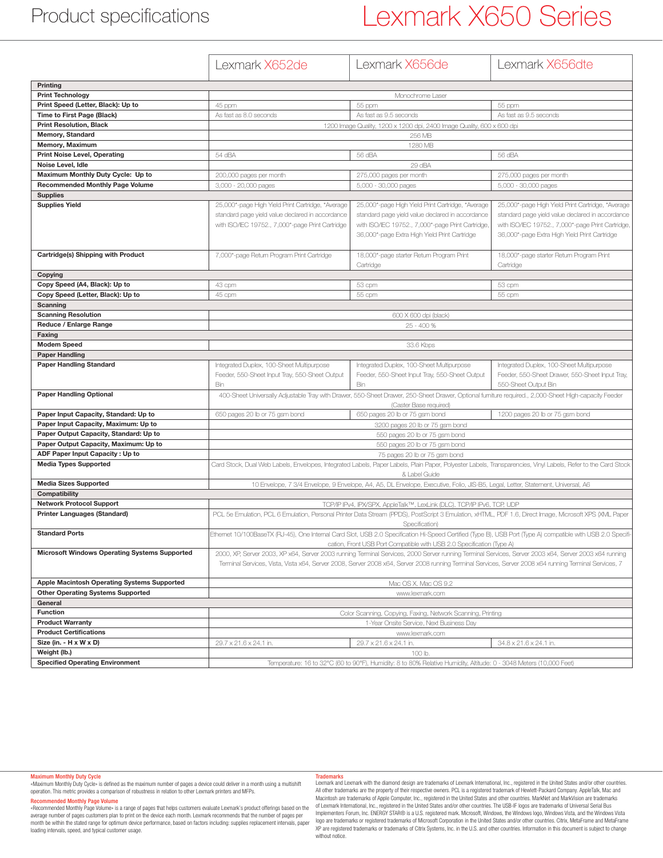### Product specifications

## Lexmark X650 Series

|                                                      | Lexmark X652de                                                                                                                                                                                 | Lexmark X656de                                                                                                                                                                                                                 | Lexmark X656dte                                                         |
|------------------------------------------------------|------------------------------------------------------------------------------------------------------------------------------------------------------------------------------------------------|--------------------------------------------------------------------------------------------------------------------------------------------------------------------------------------------------------------------------------|-------------------------------------------------------------------------|
|                                                      |                                                                                                                                                                                                |                                                                                                                                                                                                                                |                                                                         |
| Printing                                             |                                                                                                                                                                                                |                                                                                                                                                                                                                                |                                                                         |
| <b>Print Technology</b>                              |                                                                                                                                                                                                | Monochrome Laser                                                                                                                                                                                                               |                                                                         |
| Print Speed (Letter, Black): Up to                   | 45 ppm                                                                                                                                                                                         | 55 ppm                                                                                                                                                                                                                         | 55 ppm                                                                  |
| Time to First Page (Black)                           | As fast as 8.0 seconds                                                                                                                                                                         | As fast as 9.5 seconds                                                                                                                                                                                                         | As fast as 9.5 seconds                                                  |
| <b>Print Resolution, Black</b>                       |                                                                                                                                                                                                | 1200 Image Quality, 1200 x 1200 dpi, 2400 Image Quality, 600 x 600 dpi                                                                                                                                                         |                                                                         |
| <b>Memory, Standard</b>                              |                                                                                                                                                                                                | 256 MB                                                                                                                                                                                                                         |                                                                         |
| Memory, Maximum                                      |                                                                                                                                                                                                | 1280 MB                                                                                                                                                                                                                        |                                                                         |
| <b>Print Noise Level, Operating</b>                  | 54 dBA                                                                                                                                                                                         | 56 dBA                                                                                                                                                                                                                         | 56 dBA                                                                  |
| Noise Level, Idle                                    |                                                                                                                                                                                                | 29 dBA                                                                                                                                                                                                                         |                                                                         |
| Maximum Monthly Duty Cycle: Up to                    | 200,000 pages per month                                                                                                                                                                        | 275,000 pages per month                                                                                                                                                                                                        | 275,000 pages per month                                                 |
| <b>Recommended Monthly Page Volume</b>               | 3,000 - 20,000 pages                                                                                                                                                                           | 5,000 - 30,000 pages                                                                                                                                                                                                           | 5,000 - 30,000 pages                                                    |
| <b>Supplies</b>                                      |                                                                                                                                                                                                |                                                                                                                                                                                                                                |                                                                         |
| <b>Supplies Yield</b>                                | 25,000*-page High Yield Print Cartridge, *Average                                                                                                                                              | 25,000*-page High Yield Print Cartridge, *Average                                                                                                                                                                              | 25,000*-page High Yield Print Cartridge, *Average                       |
|                                                      | standard page yield value declared in accordance                                                                                                                                               | standard page yield value declared in accordance                                                                                                                                                                               | standard page yield value declared in accordance                        |
|                                                      | with ISO/IEC 19752., 7,000*-page Print Cartridge                                                                                                                                               | with ISO/IEC 19752., 7,000*-page Print Cartridge,                                                                                                                                                                              | with ISO/IEC 19752., 7,000*-page Print Cartridge,                       |
|                                                      |                                                                                                                                                                                                | 36,000*-page Extra High Yield Print Cartridge                                                                                                                                                                                  | 36,000*-page Extra High Yield Print Cartridge                           |
|                                                      |                                                                                                                                                                                                |                                                                                                                                                                                                                                |                                                                         |
| Cartridge(s) Shipping with Product                   | 7,000*-page Return Program Print Cartridge                                                                                                                                                     | 18,000*-page starter Return Program Print                                                                                                                                                                                      | 18,000*-page starter Return Program Print                               |
|                                                      |                                                                                                                                                                                                | Cartridge                                                                                                                                                                                                                      | Cartridge                                                               |
| Copying                                              |                                                                                                                                                                                                |                                                                                                                                                                                                                                |                                                                         |
| Copy Speed (A4, Black): Up to                        | 43 cpm                                                                                                                                                                                         | 53 cpm                                                                                                                                                                                                                         | 53 cpm                                                                  |
| Copy Speed (Letter, Black): Up to                    | 45 cpm                                                                                                                                                                                         | 55 cpm                                                                                                                                                                                                                         | 55 cpm                                                                  |
| Scanning                                             |                                                                                                                                                                                                |                                                                                                                                                                                                                                |                                                                         |
| <b>Scanning Resolution</b>                           | 600 X 600 dpi (black)                                                                                                                                                                          |                                                                                                                                                                                                                                |                                                                         |
| Reduce / Enlarge Range                               | 25 - 400 %                                                                                                                                                                                     |                                                                                                                                                                                                                                |                                                                         |
| Faxing                                               |                                                                                                                                                                                                |                                                                                                                                                                                                                                |                                                                         |
| <b>Modem Speed</b>                                   | 33.6 Kbps                                                                                                                                                                                      |                                                                                                                                                                                                                                |                                                                         |
| <b>Paper Handling</b>                                |                                                                                                                                                                                                |                                                                                                                                                                                                                                |                                                                         |
| <b>Paper Handling Standard</b>                       | Integrated Duplex, 100-Sheet Multipurpose                                                                                                                                                      | Integrated Duplex, 100-Sheet Multipurpose                                                                                                                                                                                      | Integrated Duplex, 100-Sheet Multipurpose                               |
|                                                      | Feeder, 550-Sheet Input Tray, 550-Sheet Output<br>Bin                                                                                                                                          | Feeder, 550-Sheet Input Tray, 550-Sheet Output<br>Bin                                                                                                                                                                          | Feeder, 550-Sheet Drawer, 550-Sheet Input Tray,<br>550-Sheet Output Bin |
| <b>Paper Handling Optional</b>                       |                                                                                                                                                                                                |                                                                                                                                                                                                                                |                                                                         |
|                                                      |                                                                                                                                                                                                | 400-Sheet Universally Adjustable Tray with Drawer, 550-Sheet Drawer, 250-Sheet Drawer, Optional furniture required., 2,000-Sheet High-capacity Feeder                                                                          |                                                                         |
| Paper Input Capacity, Standard: Up to                | 650 pages 20 lb or 75 gsm bond                                                                                                                                                                 | (Caster Base required)<br>650 pages 20 lb or 75 gsm bond                                                                                                                                                                       | 1200 pages 20 lb or 75 gsm bond                                         |
| Paper Input Capacity, Maximum: Up to                 |                                                                                                                                                                                                | 3200 pages 20 lb or 75 gsm bond                                                                                                                                                                                                |                                                                         |
| Paper Output Capacity, Standard: Up to               |                                                                                                                                                                                                |                                                                                                                                                                                                                                |                                                                         |
| Paper Output Capacity, Maximum: Up to                |                                                                                                                                                                                                | 550 pages 20 lb or 75 gsm bond<br>550 pages 20 lb or 75 gsm bond                                                                                                                                                               |                                                                         |
| ADF Paper Input Capacity: Up to                      |                                                                                                                                                                                                |                                                                                                                                                                                                                                |                                                                         |
|                                                      | 75 pages 20 lb or 75 gsm bond<br>Card Stock, Dual Web Labels, Envelopes, Integrated Labels, Paper Labels, Plain Paper, Polyester Labels, Transparencies, Vinyl Labels, Refer to the Card Stock |                                                                                                                                                                                                                                |                                                                         |
|                                                      |                                                                                                                                                                                                |                                                                                                                                                                                                                                |                                                                         |
| <b>Media Types Supported</b>                         |                                                                                                                                                                                                |                                                                                                                                                                                                                                |                                                                         |
|                                                      |                                                                                                                                                                                                | & Label Guide                                                                                                                                                                                                                  |                                                                         |
| <b>Media Sizes Supported</b>                         |                                                                                                                                                                                                | 10 Envelope, 7 3/4 Envelope, 9 Envelope, A4, A5, DL Envelope, Executive, Folio, JIS-B5, Legal, Letter, Statement, Universal, A6                                                                                                |                                                                         |
| Compatibility                                        |                                                                                                                                                                                                |                                                                                                                                                                                                                                |                                                                         |
| <b>Network Protocol Support</b>                      |                                                                                                                                                                                                | TCP/IP IPv4, IPX/SPX, AppleTalk™, LexLink (DLC), TCP/IP IPv6, TCP, UDP                                                                                                                                                         |                                                                         |
| <b>Printer Languages (Standard)</b>                  |                                                                                                                                                                                                | PCL 5e Emulation, PCL 6 Emulation, Personal Printer Data Stream (PPDS), PostScript 3 Emulation, xHTML, PDF 1.6, Direct Image, Microsoft XPS (XML Paper                                                                         |                                                                         |
| <b>Standard Ports</b>                                |                                                                                                                                                                                                | Specification)                                                                                                                                                                                                                 |                                                                         |
|                                                      |                                                                                                                                                                                                | Ethernet 10/100BaseTX (RJ-45), One Internal Card Slot, USB 2.0 Specification Hi-Speed Certified (Type B), USB Port (Type A) compatible with USB 2.0 Specifi-                                                                   |                                                                         |
| <b>Microsoft Windows Operating Systems Supported</b> |                                                                                                                                                                                                | cation, Front USB Port Compatible with USB 2.0 Specification (Type A)<br>2000, XP, Server 2003, XP x64, Server 2003 running Terminal Services, 2000 Server running Terminal Services, Server 2003 x64, Server 2003 x64 running |                                                                         |
|                                                      |                                                                                                                                                                                                | Terminal Services, Vista, Vista x64, Server 2008, Server 2008 x64, Server 2008 running Terminal Services, Server 2008 x64 running Terminal Services, 7                                                                         |                                                                         |
|                                                      |                                                                                                                                                                                                |                                                                                                                                                                                                                                |                                                                         |
| Apple Macintosh Operating Systems Supported          |                                                                                                                                                                                                | Mac OS X, Mac OS 9.2                                                                                                                                                                                                           |                                                                         |
| <b>Other Operating Systems Supported</b>             |                                                                                                                                                                                                | www.lexmark.com                                                                                                                                                                                                                |                                                                         |
| General                                              |                                                                                                                                                                                                |                                                                                                                                                                                                                                |                                                                         |
| <b>Function</b>                                      |                                                                                                                                                                                                | Color Scanning, Copying, Faxing, Network Scanning, Printing                                                                                                                                                                    |                                                                         |
| <b>Product Warranty</b>                              |                                                                                                                                                                                                | 1-Year Onsite Service, Next Business Day                                                                                                                                                                                       |                                                                         |
| <b>Product Certifications</b>                        |                                                                                                                                                                                                | www.lexmark.com                                                                                                                                                                                                                |                                                                         |
| Size (in. - H x W x D)                               | 29.7 x 21.6 x 24.1 in.                                                                                                                                                                         | 29.7 x 21.6 x 24.1 in.                                                                                                                                                                                                         | 34.8 x 21.6 x 24.1 in.                                                  |
| Weight (lb.)                                         |                                                                                                                                                                                                | 100 lb.                                                                                                                                                                                                                        |                                                                         |
| <b>Specified Operating Environment</b>               |                                                                                                                                                                                                | Temperature: 16 to 32°C (60 to 90°F), Humidity: 8 to 80% Relative Humidity, Altitude: 0 - 3048 Meters (10,000 Feet)                                                                                                            |                                                                         |

### Maximum Monthly Duty Cycle

«Maximum Monthly Duty Cycle» is defined as the maximum number of pages a device could deliver in a month using a multishift operation. This metric provides a comparison of robustness in relation to other Lexmark printers and MFPs.

#### Recommended Monthly Page Volume

«Recommended Monthly Page Volume» is a range of pages that helps customers evaluate Lexmark's product offerings based on the<br>average number of pages customers plan to print on the device each month. Lexmark recommends that month be within the stated range for optimum device performance, based on factors including: supplies replacement intervals, paper loading intervals, speed, and typical customer usage.

### **Trademarks**

Lexmark and Lexmark with the diamond design are trademarks of Lexmark International, Inc., registered in the United States and/or other countries. All other trademarks are the property of their respective owners. PCL is a registered trademark of Hewlett-Packard Company. AppleTalk, Mac and<br>Macintosh are trademarks of Apple Computer, Inc., registered in the United Stat of Lexmark International, Inc., registered in the United States and/or other countries. The USB-IF logos are trademarks of Universal Serial Bus<br>Implementers Forum, Inc. ENERGY STAR® is a U.S. registered mark. Microsoft, Wi XP are registered trademarks or trademarks of Citrix Systems, Inc. in the U.S. and other countries. Information in this document is subject to change without notice.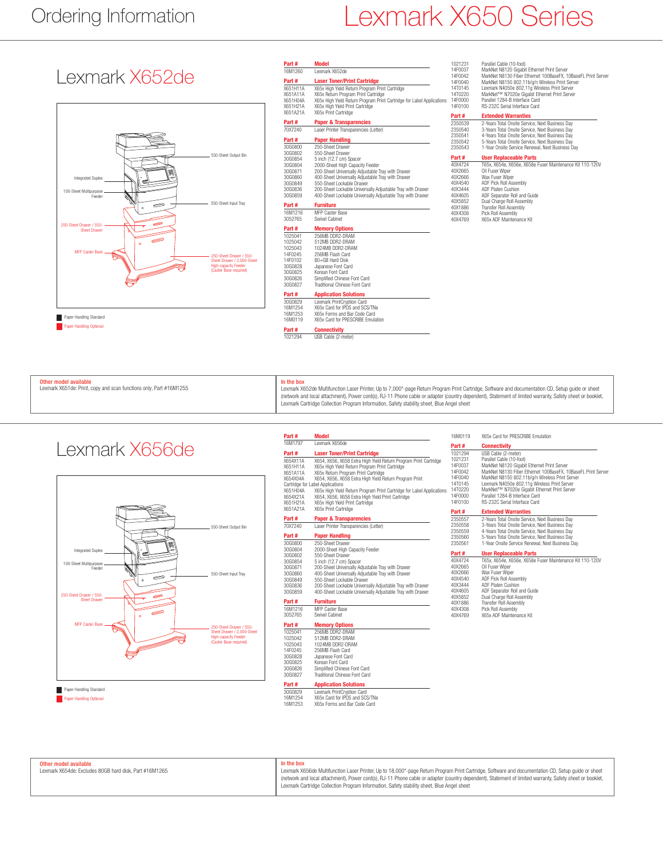## Ordering Information Lexmark X650 Series

1021231 Parallel Cable (10-foot)

### Lexmark X652de



| Part#    | <b>Model</b>                                                          |
|----------|-----------------------------------------------------------------------|
| 16M1260  | I exmark X652de                                                       |
| Part #   | <b>Laser Toner/Print Cartridge</b>                                    |
| X651H11A | X65x High Yield Return Program Print Cartridge                        |
| X651A11A | X65x Return Program Print Cartridge                                   |
| X651H04A | X65x High Yield Return Program Print Cartridge for Label Applications |
| X651H21A | X65x High Yield Print Cartridge                                       |
| X651A21A | X65x Print Cartridge                                                  |
| Part#    | <b>Paper &amp; Transparencies</b>                                     |
| 70X7240  | Laser Printer Transparencies (Letter)                                 |
| Part #   | <b>Paper Handling</b>                                                 |
| 30G0800  | 250-Sheet Drawer                                                      |
| 30G0802  | 550-Sheet Drawer                                                      |
| 30G0854  | 5 inch (12.7 cm) Spacer                                               |
| 30G0804  | 2000-Sheet High Capacity Feeder                                       |
| 30G0871  | 200-Sheet Universally Adjustable Tray with Drawer                     |
| 30G0860  | 400-Sheet Universally Adjustable Tray with Drawer                     |
| 30G0849  | 550-Sheet Lockable Drawer                                             |
| 30G0836  | 200-Sheet Lockable Universally Adjustable Tray with Drawer            |
| 30G0859  | 400-Sheet Lockable Universally Adjustable Tray with Drawer            |
| Part #   | <b>Furniture</b>                                                      |
| 16M1216  | <b>MFP Caster Base</b>                                                |
| 3052765  | Swivel Cabinet                                                        |
| Part#    | <b>Memory Options</b>                                                 |
| 1025041  | 256MB DDR2-DRAM                                                       |
| 1025042  | 512MB DDR2-DRAM                                                       |
| 1025043  | 1024MB DDR2-DRAM                                                      |
| 14F0245  | 256MB Flash Card                                                      |
| 14F0102  | 80+GB Hard Disk                                                       |
| 30G0828  | Japanese Font Card                                                    |
| 30G0825  | Korean Font Card                                                      |
| 30G0826  | Simplified Chinese Font Card                                          |
| 30G0827  | Traditional Chinese Font Card                                         |
| Part #   | <b>Application Solutions</b>                                          |
| 30G0829  | Lexmark PrintCrvption Card                                            |
| 16M1254  | X65x Card for IPDS and SCS/TNe                                        |
| 16M1253  | X65x Forms and Bar Code Card                                          |
| 16M0119  | X65x Card for PRESCRIBE Emulation                                     |
| Part #   | <b>Connectivity</b>                                                   |
| 1021294  | USB Cable (2-meter)                                                   |

| 14F0037 | MarkNet N8120 Gigabit Ethernet Print Server                   |
|---------|---------------------------------------------------------------|
| 14F0042 | MarkNet N8130 Fiber Ethernet 100BaseFX, 10BaseFL Print Server |
| 14F0040 | MarkNet N8150 802.11b/g/n Wireless Print Server               |
| 14T0145 | Lexmark N4050e 802.11g Wireless Print Server                  |
| 14T0220 | MarkNet™ N7020e Gigabit Ethernet Print Server                 |
| 14F0000 | Parallel 1284-B Interface Card                                |
| 14F0100 | RS-232C Serial Interface Card                                 |
| Part#   | <b>Extended Warranties</b>                                    |
| 2350539 | 2-Years Total Onsite Service, Next Business Day               |
| 2350540 | 3-Years Total Onsite Service, Next Business Day               |
| 2350541 | 4-Years Total Onsite Service, Next Business Day               |
| 2350542 | 5-Years Total Onsite Service, Next Business Day               |
| 2350543 | 1-Year Onsite Service Renewal, Next Business Day              |
| Part#   | <b>User Replaceable Parts</b>                                 |
| 40X4724 | T65x, X654e, X656e, X658e Fuser Maintenance Kit 110-120V      |
| 40X2665 | Oil Fuser Wiper                                               |
| 40X2666 | Wax Fuser Wiper                                               |
| 40X4540 | ADF Pick Roll Assembly                                        |
| 40X3444 | ADF Platen Cushion                                            |
| 40X4605 | ADF Separator Roll and Guide                                  |
| 40X5852 | Dual Charge Roll Assembly                                     |
| 40X1886 | <b>Transfer Roll Assembly</b>                                 |
| 40X4308 | Pick Roll Assembly                                            |
| 40X4769 | X65x ADF Maintenance Kit                                      |

| Other model available                                              | In the box                                        |
|--------------------------------------------------------------------|---------------------------------------------------|
| Lexmark X651de: Print, copy and scan functions only, Part #16M1255 | Lexmark X652de Multit<br>(network and local atta- |

Lexmark X652de Multifunction Laser Printer, Up to 7,000\*-page Return Program Print Cartridge, Software and documentation CD, Setup guide or sheet<br>(network and local attachment), Power cord(s), RJ-11 Phone cable or adapter Lexmark Cartridge Collection Program Information, Safety stability sheet, Blue Angel sheet



| Part#              | Model                                                                                                                    |
|--------------------|--------------------------------------------------------------------------------------------------------------------------|
| 16M1797            | Lexmark X656de                                                                                                           |
| Part#              | <b>Laser Toner/Print Cartridge</b>                                                                                       |
| X654X11A           | X654, X656, X658 Extra High Yield Return Program Print Cartridge                                                         |
| X651H11A           | X65x High Yield Return Program Print Cartridge                                                                           |
| X651A11A           | X65x Return Program Print Cartridge                                                                                      |
| X654X04A           | X654, X656, X658 Extra High Yield Return Program Print                                                                   |
|                    | Cartridge for Label Applications                                                                                         |
| X651H04A           | X65x High Yield Return Program Print Cartridge for Label Applications                                                    |
| X654X21A           | X654, X656, X658 Extra High Yield Print Cartridge                                                                        |
| X651H21A           | X65x High Yield Print Cartridge                                                                                          |
| X651A21A           | X65x Print Cartridge                                                                                                     |
| Part#              | <b>Paper &amp; Transparencies</b>                                                                                        |
| 70X7240            | Laser Printer Transparencies (Letter)                                                                                    |
| Part#              | <b>Paper Handling</b>                                                                                                    |
| 30G0800            | 250-Sheet Drawer                                                                                                         |
| 3060804            | 2000-Sheet High Capacity Feeder                                                                                          |
| 3060802            | 550-Sheet Drawer                                                                                                         |
| 30G0854            | 5 inch (12.7 cm) Spacer                                                                                                  |
| 30G0871            | 200-Sheet Universally Adiustable Tray with Drawer                                                                        |
| 30G0860            | 400-Sheet Universally Adjustable Tray with Drawer                                                                        |
| 30G0849            | 550-Sheet Lockable Drawer                                                                                                |
| 3060836<br>30G0859 | 200-Sheet Lockable Universally Adjustable Tray with Drawer<br>400-Sheet Lockable Universally Adjustable Tray with Drawer |
| Part#              | <b>Furniture</b>                                                                                                         |
| 16M1216            | MFP Caster Rase                                                                                                          |
| 3052765            | Swivel Cabinet                                                                                                           |
| Part#              | <b>Memory Options</b>                                                                                                    |
| 1025041            | 256MB DDR2-DRAM                                                                                                          |
| 1025042            | 512MB DDR2-DRAM                                                                                                          |
| 1025043            | 1024MB DDR2-DRAM                                                                                                         |
| 14F0245            | 256MB Flash Card                                                                                                         |
| 30G0828            | Japanese Font Card                                                                                                       |
| 30G0825            | Korean Font Card                                                                                                         |
| 3060826            | Simplified Chinese Font Card                                                                                             |
| 30G0827            | Traditional Chinese Font Card                                                                                            |
| Part#              | <b>Application Solutions</b>                                                                                             |
| 30G0829<br>16M1254 | Lexmark PrintCrvption Card<br>X65x Card for IPDS and SCS/TNe                                                             |
| 16M1253            | X65x Forms and Bar Code Card                                                                                             |
|                    |                                                                                                                          |

| 16M0119<br>X65x Card for PRESCRIBE Emulation<br>Part#<br><b>Connectivity</b><br>1021294<br>USB Cable (2-meter)<br>Parallel Cable (10-foot)<br>1021231<br>MarkNet N8120 Gigabit Ethernet Print Server<br>14F0037<br>14F0042<br>MarkNet N8150 802.11b/g/n Wireless Print Server<br>14F0040<br>Lexmark N4050e 802.11g Wireless Print Server<br>14T0145<br>MarkNet™ N7020e Gigabit Ethernet Print Server<br>14T0220<br><b>ns</b><br>Parallel 1284-B Interface Card<br>14F0000<br>RS-232C Serial Interface Card<br>14F0100<br><b>Extended Warranties</b><br>Part#<br>2350557<br>2-Years Total Onsite Service, Next Business Dav<br>3-Years Total Onsite Service, Next Business Dav<br>2350558<br>4-Years Total Onsite Service, Next Business Dav<br>2350559<br>5-Years Total Onsite Service, Next Business Dav<br>2350560<br>1-Year Onsite Service Renewal, Next Business Dav<br>2350561<br><b>User Replaceable Parts</b><br>Part#<br>T65x, X654e, X656e, X658e Fuser Maintenance Kit 110-120V<br>40X4724<br>Oil Fuser Wiper<br>40X2665<br>Wax Fuser Wiper<br>40X2666<br>40X4540<br>ADF Pick Roll Assembly<br>ADF Platen Cushion<br>40X3444<br>40X4605<br>ADF Separator Roll and Guide<br>Dual Charge Roll Assembly<br>40X5852<br>Transfer Roll Assembly<br>40X1886<br>Pick Roll Assembly<br>40X4308<br>X65x ADF Maintenance Kit<br>40X4769 |  |                                                               |
|----------------------------------------------------------------------------------------------------------------------------------------------------------------------------------------------------------------------------------------------------------------------------------------------------------------------------------------------------------------------------------------------------------------------------------------------------------------------------------------------------------------------------------------------------------------------------------------------------------------------------------------------------------------------------------------------------------------------------------------------------------------------------------------------------------------------------------------------------------------------------------------------------------------------------------------------------------------------------------------------------------------------------------------------------------------------------------------------------------------------------------------------------------------------------------------------------------------------------------------------------------------------------------------------------------------------------------------|--|---------------------------------------------------------------|
|                                                                                                                                                                                                                                                                                                                                                                                                                                                                                                                                                                                                                                                                                                                                                                                                                                                                                                                                                                                                                                                                                                                                                                                                                                                                                                                                        |  |                                                               |
|                                                                                                                                                                                                                                                                                                                                                                                                                                                                                                                                                                                                                                                                                                                                                                                                                                                                                                                                                                                                                                                                                                                                                                                                                                                                                                                                        |  |                                                               |
|                                                                                                                                                                                                                                                                                                                                                                                                                                                                                                                                                                                                                                                                                                                                                                                                                                                                                                                                                                                                                                                                                                                                                                                                                                                                                                                                        |  | MarkNet N8130 Fiber Ethernet 100BaseFX, 10BaseFL Print Server |
|                                                                                                                                                                                                                                                                                                                                                                                                                                                                                                                                                                                                                                                                                                                                                                                                                                                                                                                                                                                                                                                                                                                                                                                                                                                                                                                                        |  |                                                               |
|                                                                                                                                                                                                                                                                                                                                                                                                                                                                                                                                                                                                                                                                                                                                                                                                                                                                                                                                                                                                                                                                                                                                                                                                                                                                                                                                        |  |                                                               |
|                                                                                                                                                                                                                                                                                                                                                                                                                                                                                                                                                                                                                                                                                                                                                                                                                                                                                                                                                                                                                                                                                                                                                                                                                                                                                                                                        |  |                                                               |
|                                                                                                                                                                                                                                                                                                                                                                                                                                                                                                                                                                                                                                                                                                                                                                                                                                                                                                                                                                                                                                                                                                                                                                                                                                                                                                                                        |  |                                                               |

| Other model available                                  | In the box                                                                                                                                              |
|--------------------------------------------------------|---------------------------------------------------------------------------------------------------------------------------------------------------------|
| Lexmark X654de: Excludes 80GB hard disk, Part #16M1265 | Lexmark X656de Multifunction Laser Printer, Up to 18,000*-page Return Program Print Cartridge, Software and documentation CD, Setup quide or sheet      |
|                                                        | (network and local attachment). Power cord(s), RJ-11 Phone cable or adapter (country dependent), Statement of limited warranty, Safety sheet or booklet |
|                                                        | Lexmark Cartridge Collection Program Information, Safety stability sheet, Blue Angel sheet                                                              |